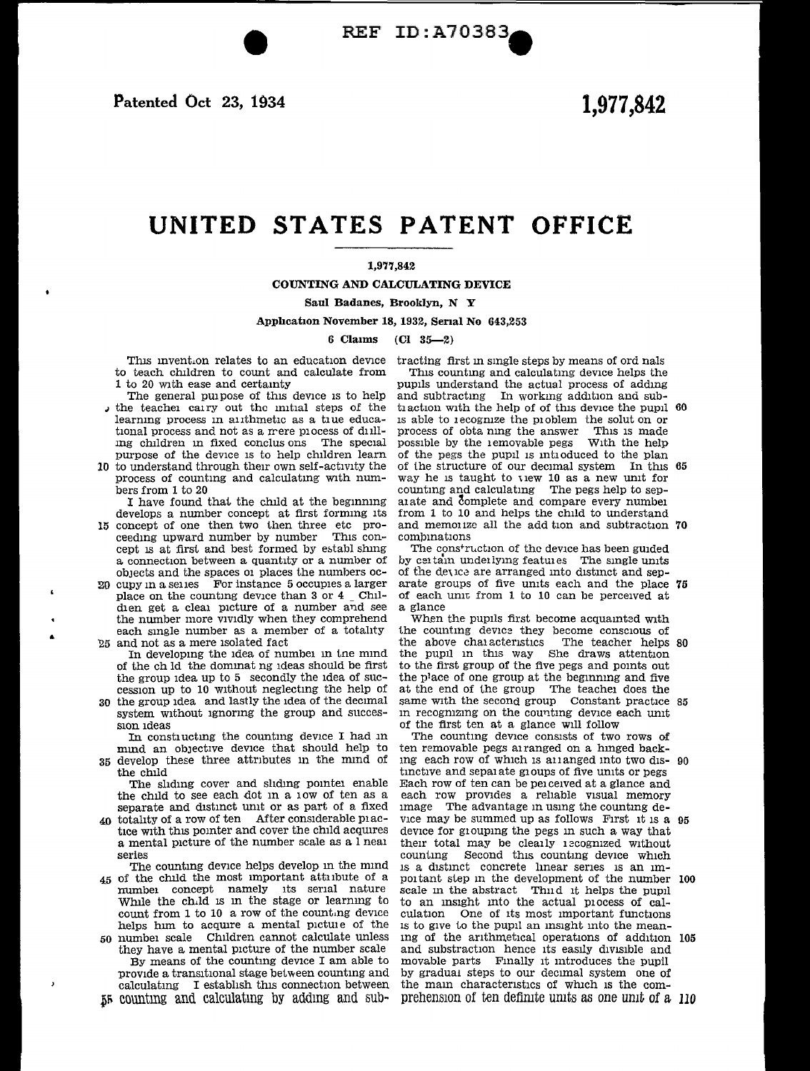Patented Oct 23, 1934

# 1,977,842

# UNITED STATES PATENT OFFICE

### 1,977,842

COUNTING AND CALCULATING DEVICE

Saul Badanes, Brooklyn, N Y

Application November 18, 1932, Serial No 643,253

6 Claims  $(Cl 35-2)$ 

This invention relates to an education device to teach children to count and calculate from 1 to 20 with ease and certainty

- The general purpose of this device is to help , the teacher carry out the mitial steps of the learning process in alithmetic as a true educational process and not as a mere process of dulling children in fixed conclus ons The special purpose of the device is to help children learn
- 10 to understand through their own self-activity the process of counting and calculating with numbers from 1 to 20

I have found that the child at the beginning develops a number concept at first forming its

- 15 concept of one then two then three etc proceeding upward number by number This concept is at first and best formed by establ shing a connection between a quantity or a number of objects and the spaces or places the numbers oc-
- 20 cupy in a series For instance 5 occupies a larger place on the counting device than 3 or 4 Childien get a clear picture of a number and see the number more vividly when they comprehend each single number as a member of a totality
- 25 and not as a mere isolated fact
- In developing the idea of number in the mind of the ch ld the dominating ideas should be first the group idea up to 5 secondly the idea of succession up to 10 without neglecting the help of 30 the group idea and lastly the idea of the decimal
- system without ignoring the group and succession ideas

In constructing the counting device I had in mind an objective device that should help to 35 develop these three attributes in the mind of the child

The sliding cover and sliding pointer enable the child to see each dot in a low of ten as a separate and distinct unit or as part of a fixed

40 totality of a row of ten After considerable piactice with this pointer and cover the child acquires a mental picture of the number scale as a l near series

The counting device helps develop in the mind 45 of the child the most important attribute of a number concept namely its serial nature

- While the child is in the stage or learning to count from 1 to 10 a row of the counting device helps him to acquire a mental picture of the 50 number scale Children cannot calculate unless
- they have a mental picture of the number scale By means of the counting device I am able to provide a transitional stage between counting and calculating I establish this connection between 55 counting and calculating by adding and sub-

 $\overline{ }$ 

tracting first in single steps by means of ord nals This counting and calculating device helps the pupils understand the actual process of adding and subtracting In working addition and subtraction with the help of of this device the pupil 60 is able to recognize the problem the solut on or process of obta ning the answer This is made<br>possible by the 1emovable pegs With the help of the pegs the pupil is introduced to the plan of the structure of our decimal system In this 65 way he is taught to view 10 as a new unit for counting and calculating The pegs help to separate and complete and compare every number from 1 to 10 and helps the child to understand and memorize all the add tion and subtraction 70 combinations

The construction of the device has been guided by certain underlying features The single units of the device are arranged into distinct and separate groups of five units each and the place 75 of each unit from 1 to 10 can be perceived at a glance

When the pupils first become acquainted with the counting device they become conscious of the above characteristics The teacher helps 80<br>the pupil in this way She draws attention to the first group of the five pegs and points out the place of one group at the beginning and five at the end of the group The teacher does the same with the second group Constant practice 85 in recognizing on the counting device each unit of the first ten at a glance will follow

The counting device consists of two rows of ten removable pegs arranged on a hinged backing each row of which is all anged into two dis- 90 tinctive and separate groups of five units or pegs Each row of ten can be perceived at a glance and each row provides a reliable visual memory image The advantage in using the counting device may be summed up as follows First it is a 95 device for grouping the pegs in such a way that their total may be clearly recognized without counting Second this counting device which is a distinct concrete linear series is an important step in the development of the number 100 scale in the abstract Third it helps the pupil to an insight into the actual process of calculation One of its most important functions is to give to the pupil an insight into the meaning of the arithmetical operations of addition 105 and substraction hence its easily divisible and movable parts Finally it introduces the pupil by gradual steps to our decimal system one of the main characteristics of which is the comprehension of ten definite units as one unit of a 110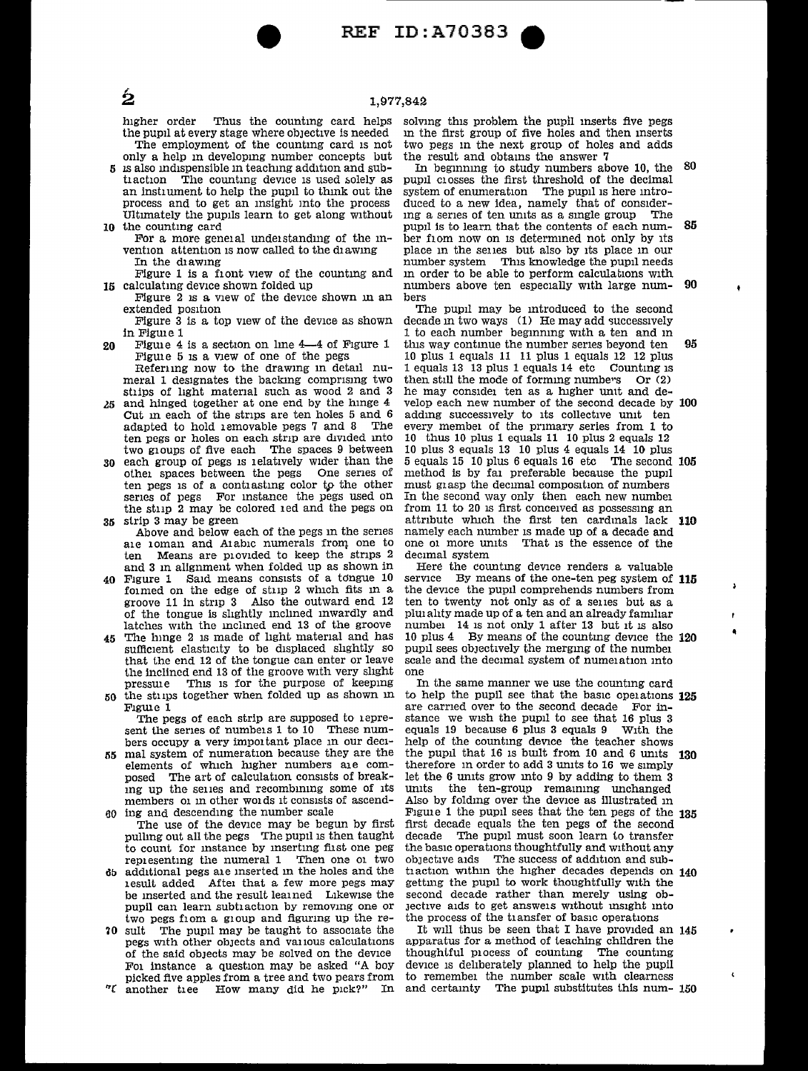REF ID: A70383

### 1,977,842

higher order Thus the countmg card helps the pupil at every stage where obJective is needed The employment of the counting card is not only a help m developmg number concepts but

- 5 IS also md1spensible m teachmg addition and subtlaction The counting device is used solely as an instrument to help the pupil to think out the process and to get an msight mto the process Ultimately the pupils learn to get along without
- 10 the counting card<br>For a more general understanding of the invention attention is now called to the diawing In the d1awmg
- Figure 1 is a front view of the counting and 15 calculating device shown folded up
	- Figure 2 is a view of the device shown in an extended position
	- Figure 3 is a top view of the device as shown in Figure 1
- 20 Figure 4 is a section on line 4-4 of Figure 1 Figure 5 is a view of one of the pegs Referung now to the drawing in detail nu-<br>meral 1 designates the backing comprising two
- stips of light material such as wood 2 and 3 *l5* and hinged together at one end by the hmge 4
- Cut m each of the strips are ten holes 5 and 6 adapted to hold removable pegs 7 and 8 The ten pegs or holes on each strip are divided into two g1oups of five each The spaces 9 between
- 30 each group of pegs 1s 1elat1vely Wider than the othei spaces between the pegs One senes of<br>ten pegs is of a contiasting color to the other series of pegs For instance the pegs used on the stup 2 may be colored 1 ed and the pegs on 35 strip 3 may be green
- Above and below each of the pegs m the senes a1e 1oman and Alabic numerals frorq one to ten Means are provided to keep the strips 2 and 3 m alignment when folded up as shown in
- Figure 1 Said means consists of a tongue 10 formed on the edge of strip 2 which fits in a groove 11 in strip 3 Also the outward end 12 of the tongue is slightly mclmed mwardly and latches with the mclmed end 13 of the groove
- 45 The hinge 2 is made of light material and has sufficient elasticity to be displaced slightly so that the end 12 of the tongue can enter or leave the inclined end 13 of the groove with very slight pressure This is for the purpose of keeping 50 the stiips together when folded up as shown in
	- Figure 1 The pegs of each strip are supposed to 1 epresent the series of numbers 1 to 10 These numbers occupy a very important place in our deci-
- 55 mal system of numeration because they are the elements of which higher numbers are composed The art of calculation consists of breakmg up the seues and recombmmg some of 1ts members of in other words it consists of ascend-60 ing and descendmg the number scale
- The use of the device may be begun by first pulling out all the pegs The pupil is then taught to count for mstance by msertmg fust one peg representing the numeral 1 Then one of two
- db additional pegs a1e mserted m the holes and the 1esult added Aftei that a few more pegs may be inserted and the result learned Likewise the pupil can learn subtraction by removing one or two pegs from a group and figuring up the re-
- **70** sult The pupil may be taught to associate the pegs With other obJects and va11ous calculations of the said objects may be solved on the device Fol instance a question may be asked "A boy picked five apples from a tree and two pears from
- *"C* another tiee How many did he pick?" In

solving this problem the pupil inserts five pegs in the first group of five holes and then inserts two pegs m the next group of holes and adds the result and obtams the answer 7

In beginning to study numbers above 10, the 80 pupil crosses the first threshold of the decimal system of enumeration The pupil is here introsystem of enumeration The pupil is here introduced to a new idea, namely that of consider-<br>the a series of ten units as a single group. The ing a series of ten units as a single group pupil is to learn that the contents of each num- 85 ber from now on is determined not only by its place m the seues but also by 1ts place m our number system This knowledge the pupil needs in order to be able to perform calculations with numbers above ten especially with large num- 90 bers

The pupil may be mtroduced to the second decade in two ways  $(1)$  He may add successively 1 to each number beginning with a ten and in this way continue the number series beyond ten  $95$ 10 plus 1 equals 11 11 plus 1 equals 12 12 plus 1 equals 13 13 plus 1 equals 14 etc Countmg IS then still the mode of forming numbers  $Or(2)$ he may considei ten as a higher unit and develop each new number of the second decade by 100 adding successively to its collective unit ten every member of the primary series from 1 to 10 thus 10 plus 1 equals 11 10 plus 2 equals 12 10 plus 3 equals 13 10 plus 4 equals 14 10 plus 5 equals 15 10 plus 6 equals 16 etc The second 105 method is by fa1 preferable because the pupil must grasp the decimal composition of numbers In the second way only then each new number<br>from 11 to 20 is first conceived as possessing an attribute which the first ten cardinals lack 110 namely each number is made up of a decade and one of more units That is the essence of the decimal system

Here the counting device renders a valuable service By means of the one-ten peg system of  $115$ the device the pupil comprehends numbers from ten to twenty not only as of a selles but as a pluid ahty made up of a ten and an already familiar numbei 14 is not only 1 after 13 but it is also 10 plus 4 By means of the counting device the  $120$ pupil sees objectively the merging of the number scale and the decimal system of numeration into<br>one In the same manner we use the counting card

to help the pupil see that the basic operations  $125$ are earned over to the second decade For instance we wish the pupil to see that 16 plus 3 equals 19 because 6 plus 3 equals 9 With the equals  $19$  because 6 plus 3 equals  $9$ help of the counting device the teacher shows the pupil that  $16$  is built from  $10$  and  $6$  units  $130$ therefore in order to add 3 units to 16 we simply let the  $6$  units grow into  $9$  by adding to them  $3$ units the ten-group remaining unchanged<br>Also by folding over the device as illustrated in Figure 1 the pupil sees that the ten pegs of the 135 first decade equals the ten pegs of the second decade The pupil must soon learn to transfer the basic operations thoughtfully and without any objective aids The success of addition and subtraction within the higher decades depends on  $140$ gettmg the pupil to work thoughtfully wrth the second decade rather than merely using ob-Jective aids to get answe1s without msight mto the process of the transfer of basic operations

It will thus be seen that I have provided an  $145$ apparatus for a method of teaching children the thoughtful p1ocess of countmg The countmg device is deliberately planned to help the pupil to remember the number scale with clearness and certamty The pupil substitutes this num- 150

Ĺ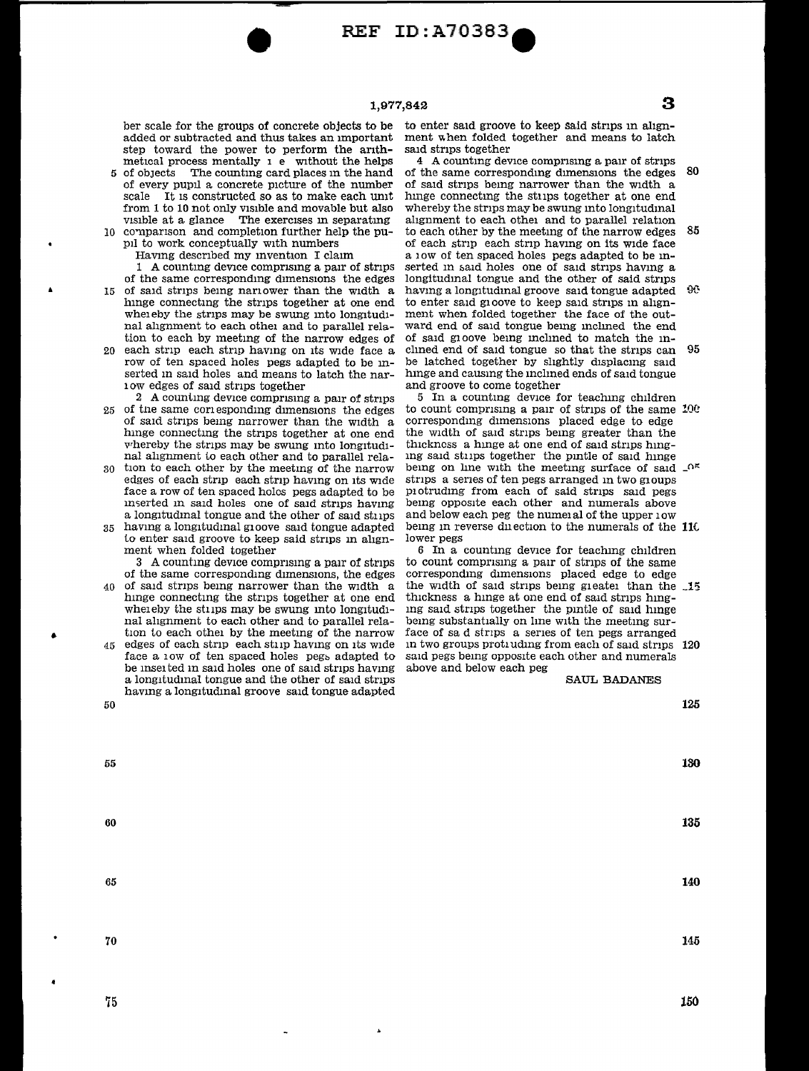**1,977,842 3** 

**REF ID: A70383** 

ber scale for the groups of concrete objects to be added or subtracted and thus takes an Important step toward the power to perform the anthmetrcal process mentally  $1 e$  without the helps<br>of objects The counting card places in the hand

- 5 of obJects The countmg card places m the hand of every pupil a concrete picture of the number scale It is constructed so as to make each unit from 1 to 10 not only visible and movable but also visible at a glance The exercises in separating 10 comparison and completion further help the pu
	- prl to work conceptually with numbers

•

•

Having described my invention I claim

1 A countmg devrce compnsmg a parr of strrps of the same corresponding dimensions the edges

- 15 of said strips being narrower than the width a hinge connecting the strips together at one end whereby the strips may be swung into longitudinal alignment to each other and to parallel relation to each by meetmg of the narrow edges of
- 20 each stnp each stnp havmg on rts wrde face a row of ten spaced holes pegs adapted to be mserted in said holes and means to latch the nar-1 ow edges of sard strrps together
- 2 A counting device comprising a pair of strips 25 of the same corresponding dimensions the edges of said stnps bemg narrower than the Width a hmge connectmg the stnps together at one end whereby the strips may be swung into longitudinal ahgnment to each other and to parallel rela-
- tion to each other by the meeting of the narrow edges of each strip each strip having on its wide face a row of ten spaced holes pegs adapted to be m5erted In said holes one of said strrps havmg a longrtudmal tongue and the other of sard stirps
- 35 havmg a longrtudmal g10ove said tongue adapted to enter said groove to keep said strips in alignment when folded together

3 A counting device comprising a pair of strips of the same correspondmg dimensions, the edges

- 40 of sard stnps bemg narrower than the width a hinge connecting the strips together at one end whereby the strips may be swung into longitudinal alignment to each other and to parallel relation to each other by the meeting of the narrow
- 45 edges of each stnp each stup havmg on Its wrde face a low of ten spaced holes pegs adapted to be inserted in said holes one of said strips having<br>a longitudinal tongue and the other of said strips having a longitudinal groove said tongue adapted 50

to enter said groove to keep said strips in alignment when folded together and means to latch said strips together

4 A counting device comprising a pair of strips of the same corresponding dimensions the edges  $80$ of sard strips bemg narrower than the wrdth a lunge connectmg the stups together at one end whereby the strips may be swung into longitudinal alignment to each other and to parallel relation to each other by the meeting of the narrow edges 85 of each strip each strip having on its wide face a low of ten spaced holes pegs adapted to be inserted in said holes one of said strips having a longitudinal tongue and the other of said strips having a longitudinal groove said tongue adapted 90 to enter said groove to keep sard strrps m allgnment when folded together the face of the outward end of sard tongue bemg mclmed the end of said g10ove being inclined to match the inclined end of said tongue so that the strips can 95 be latched together by sllghtly displacmg sard hinge and causing the inclined ends of said tongue and groove to come together

5 In a counting device for teaching children to count comprising a pair of strips of the same  $100$ corresponding dimensions placed edge to edge the width of said strips being greater than the thrckncss a hinge at one end of said strips hingmg said stirps together the pmtle of said hmge being on line with the meeting surface of said  $\mathcal{A}^{\kappa}$ strips a series of ten pegs arranged in two gioups Pl otrudmg from each of said strrps sard pegs bemg opposrte each other and numerals above and below each peg the numeral of the upper 10w being in reverse duection to the numerals of the 110 lower pegs

6 In a counting device for teaching children<br>to count comprising a pair of strips of the same corresponding dimensions placed edge to edge the width of said strips being greater than the  $15$ thrckness a hinge at one end of said strips hingmg said strips together the pintle of said hinge being substantially on line with the meeting surface of sa d stnps a senes of ten pegs arranged in two groups protiading from each of said strips  $120$ sard pegs bemg opposrte each other and numerals above and below each peg

### SAUL BADANES

**125** 

55 60 65 70 **130 135 140**  145

75

**150**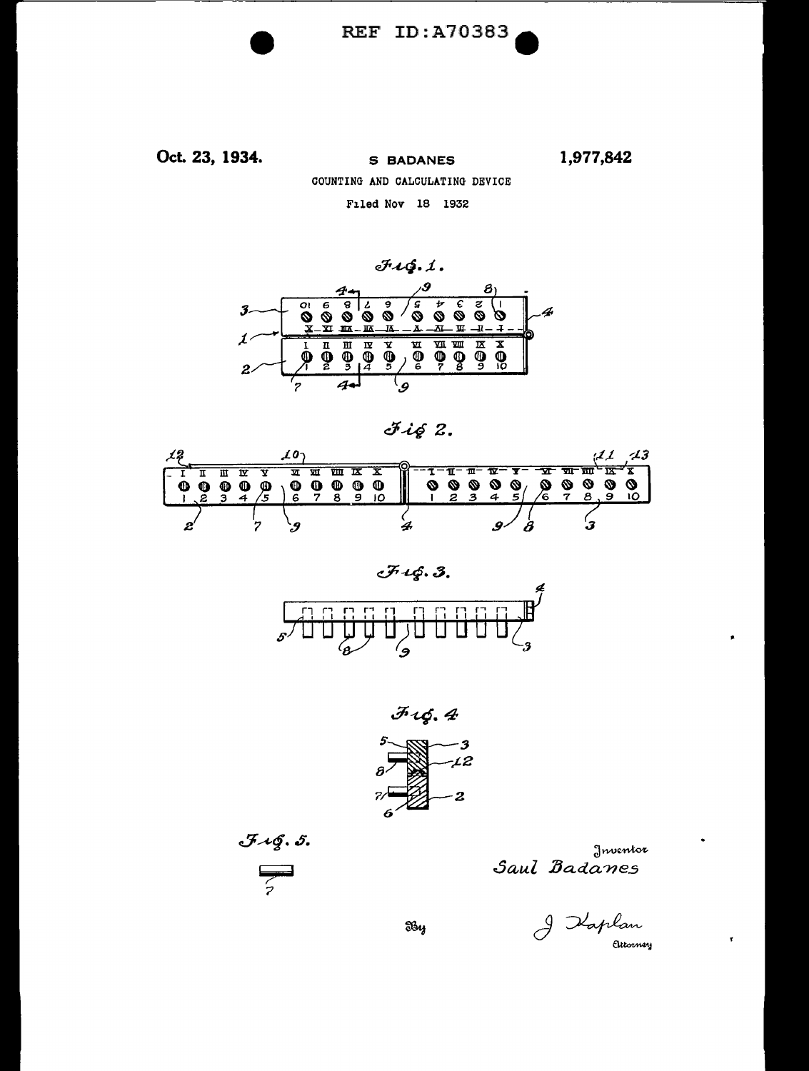

Oct. 23, 1934. 1,977,842 **S BADANES** COUNTING AND CALCULATING DEVICE Filed Nov 18 1932









 $J \mathcal{AG}$ . 5.

$$
\overline{z}
$$



I Kaplan

T

By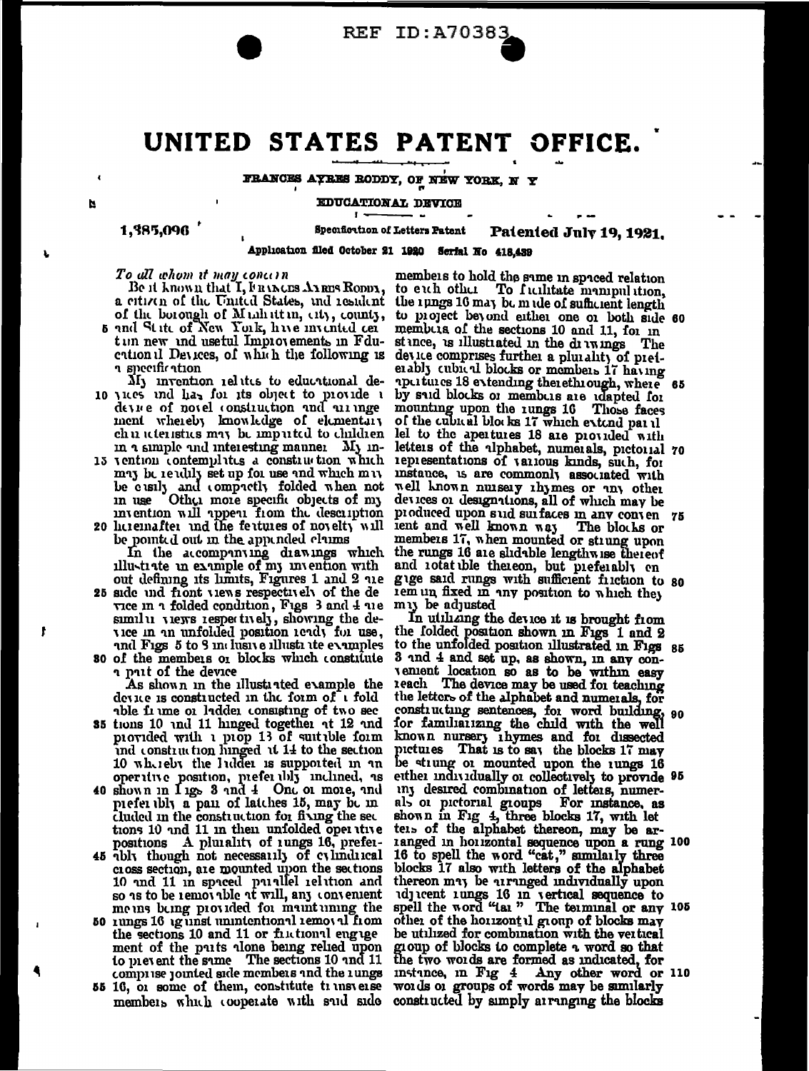

## UNITED STATES PATENT OFFICE.

FRANCES AYRES RODDY, OF NEW YORK, N Y

N

**EDUCATIONAL DEVICE** 

1,385,096

**Specificition of Letters Patent** 

Patented July 19, 1921.

Application filed October 21 1920 Serfal No 418,439

To all whom it may concern<br>Be it known that I, Funners Arms Romn, a citizen of the United States, and resident the rungs 16 may be made of sufficient length of the borough of Muhittin, eity, county, 5 and Stite of New York, hive invented cer

tun new und usetul Improvements in Fduentional Devices, of which the following is า specification

My invention ielitis to educational de-10 yies and has for its object to provide a device of noted construction and arringe ment whereby knowledge of elementary<br>chu iteristics may be imputed to children in a simple and interesting manner My in-

13 vention contemplates a construction which may be readily set up for use and which may be cusly and compactly folded when not<br>in use Other more specific objects of my<br>invention will appear from the description

20 licremafter and the features of novelty will be pointed out in the appended claims In the accompanying diawings which the rungs 16 are slidable lengthwise thereof illustrate in example of my invention with and rotat ble thereon, but preferably en

out defining its limits, Figures 1 and 2 are 25 side und front views respectively of the de views n i folded condition, Figs 3 and 4 ne similar views respectively, showing the device in an unfolded position ready for use, and Figs 5 to 9 in husive illusti ite examples

so of the members or blocks which constitute a part of the device As shown in the illustrated example the device is constructed in the form of a fold able frome or ladder consisting of two sec

- 35 tions 10 and 11 hinged together at 12 and provided with a prop 13 of suitable form ind construction hinged it 14 to the section 10 whereby the Indder is supported in an operative position, piefer bly inclined, as<br>40 shown in 1 igs 3 and 4 One or more, and
- piefer bly a pain of latches 15, may be in cluded in the construction for fixing the sec tions 10 and 11 in their unfolded oper tive positions A pluiality of lungs 16, prefer-
- 45 *ably* though not necessarily of cylindrical cross section, are mounted upon the sections 10 and 11 in spaced paiallel ielation and so as to be removable at will, any convenient me uns being provided for maintuning the
- 50 rungs 16 ig unst unintentional removal from the sections 10 and 11 or finitional engage ment of the puts alone being relied upon to pievent the same The sections 10 and 11 comprise jointed side members and the rungs
- 55 16, or some of them, constitute trunsverse members which cooperate with suid side constructed by simply arranging the blocks

members to hold the same in spaced relation to each other To facilitate manipulation. to project beyond either one or both side 60 membris of the sections 10 and 11, for in stance, as illustrated in the drawings The device comprises further a plurality of preferably cubical blocks or members 17 having apertures 18 extending therethrough, where 65 by sud blocks or members are idapted for mounting upon the rungs 16 Those faces of the cubical blocks 17 which extend partll lel to the apertures 18 are provided with letters of the ulphabet, numerals, pictorial 70 representations of various kinds, such, for instance, is are commonly associated with well known nuisery ihymes or any other devices or designations, all of which may be produced upon sud surfaces in any conven 75 lent and well known way The blocks or<br>members 17, when mounted or strung upon gige said rungs with sufficient fuction to so rem un fixed in any position to which they muy be adjusted

In utilizing the device it is brought from the folded position shown in Figs 1 and 2 to the unfolded position illustrated in Figs 85 3 and 4 and set up, as shown, in any convenient location so as to be within easy the letters of the alphabet and numerals, for constructing sentences, for word building, 90 for familiarizing the child with the well known nursery ingmes and for dissected pictures That is to say the blocks 17 may be strung or mounted upon the rungs 16 etther individually or collectively to provide 95 iny desired combination of letters, numerals or pictorial groups. For instance, as shown in Fig. 4, three blocks 17, with let<br>tels of the alphabet thereon, may be arranged in horizontal sequence upon a rung 100<br>16 to spell the word "cat," similarly three<br>blocks 17 also with letters of the alphabet thereon may be uranged individually upon du cent imags 16 in vertical sequence to spell the word "tai" The teiminal or any 105 other of the horizontal group of blocks may<br>be utilized for combination with the vertical group of blocks to complete a word so that<br>the two words are formed as indicated, for instance, in Fig 4 Any other word or 110 words or groups of words may be similarly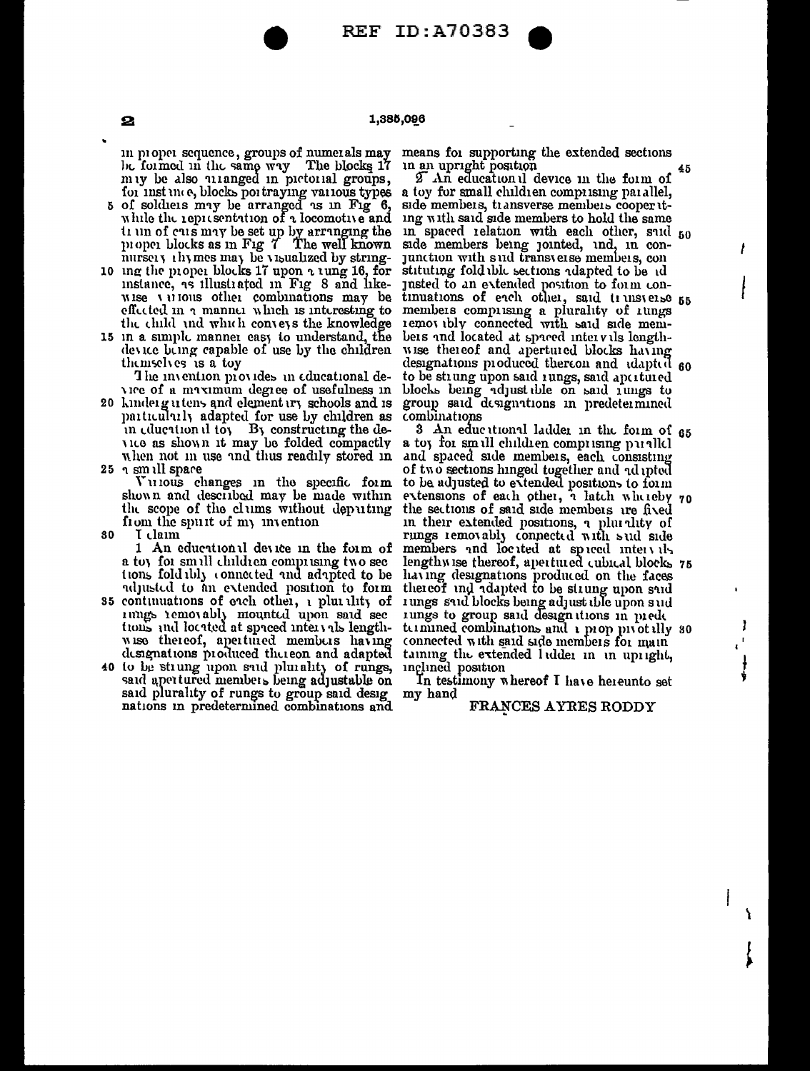**REF ID:A70383** 

### 1,385,096

be formed in the same way The blocks 17

- while the representation of a locomotive and
- wise various other combinations may be effected in a manner which is interesting to members comprising a plurality of rungs the child and which conveys the knowledge removably connected with said side mem-
- 15 in a simple manner casy to understand, the device being capable of use by the children themselves is a toy

The invention provides in educational de-

20 kindergutens and elementiry schools and is particularly adapted for use by children as in education il toy By constructing the device as shown it may be folded compactly<br>when not in use and thus readily stored in  $25 \tcdot \sin \iota$ ll space

Vulous changes in the specific form shown and described may be made within the scope of the clums without deputing from the spurt of my invention

30 I claim

1 An educational device in the form of a toy for small children comprising two sec tions fold ibly connected and adapted to be adjusted to an extended position to form

- 35 continuations of each other, a pluistity of rungs removably mounted upon said sections and located at spreed intervals lengthwise thereof, apertured members having designations produced thereon and adapted
- 40 to be strung upon said plurality of rungs, inclined position said apertured members being adjustable on said plurality of rungs to group said designations in predetermined combinations and

in proper sequence, groups of numerals may means for supporting the extended sections in an upright position

my be also ulanged in pictorial groups, 2 An education if device in the form of<br>for instance, blocks portraying various types a toy for small children compi sing parallel,<br>5 of soldiers may be arranged as in Fig 6, side me 2 An educational device in the form of ing with said side members to hold the same the distance of the same of the same of the same of the same of the same of the same of the same proper blocks as in Fig 7. The well known side members being jointed, ind, in con-<br>nursery thymes may be visualized by string tinuations of each other, said truisverse 55 bets and located at spaced intervils lengthwise thereof and apertured blocks having designations produced thereon and idapted 60 to be strung upon said rungs, said apertured vice of a maximum degree of usefulness in blocks being adjust the on said rungs to group said designations in predetermined combinations

3 An educational ladder in the form of 65 a toy for small children comprising parallel and spaced side members, each consisting to be adjusted to extended positions to form extensions of each other, a latch whereby 70 the sections of said side members are fived In their extended positions, a plurility of<br>rungs removably connected with sud side<br>members and located at spaced intervals<br>lengthwise thereof, apertured cubical blocks 75 having designations produced on the faces thereof ind idapted to be strung upon sid rungs said blocks being adjust the upon sud rungs to group said designations in prede termined combinations and a prop proof illy so connected with said side members for main taining the extended lidder in in upinght,

In testimony whereof I have hereunto set my hand

#### FRANCES AYRES RODDY

 $\mathbf{2}$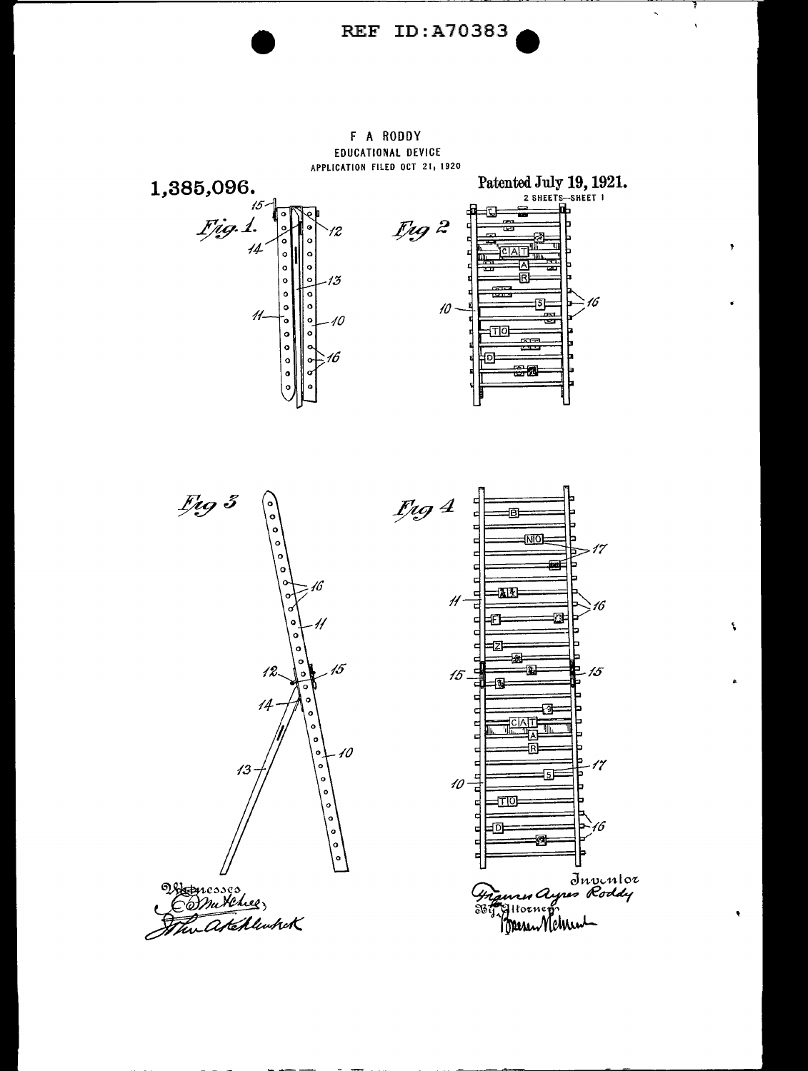

### F A RODDY EDUCATIONAL DEVICE APPLICATION FILED OCT 21, 1920



 $\pmb{\gamma}$ 

 $\mathbf{v}$ 

 $\ddot{\phantom{a}}$